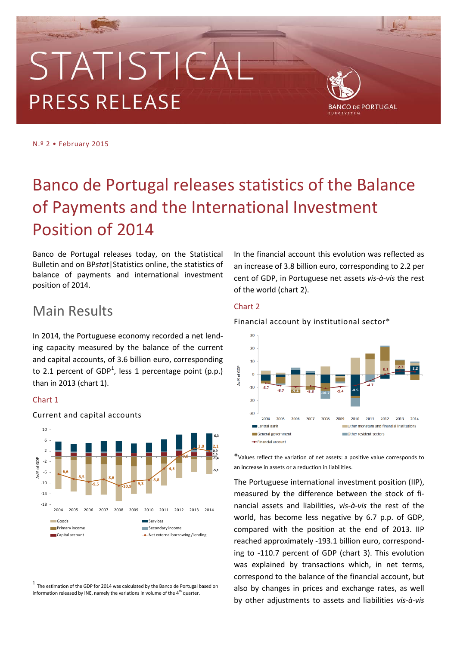# STATISTICA **PRESS RELEASE**



N.º 2 • February 2015

## Banco de Portugal releases statistics of the Balance of Payments and the International Investment Position of 2014

Banco de Portugal releases today, on the Statistical Bulletin and on BP*stat*|Statistics online, the statistics of balance of payments and international investment position of 2014.

## Main Results

In 2014, the Portuguese economy recorded a net lending capacity measured by the balance of the current and capital accounts, of 3.6 billion euro, corresponding to 2.[1](#page-0-0) percent of GDP<sup>1</sup>, less 1 percentage point (p.p.) than in 2013 (chart 1).

#### Chart 1



#### Current and capital accounts

<span id="page-0-0"></span> $1$  The estimation of the GDP for 2014 was calculated by the Banco de Portugal based on information released by INE, namely the variations in volume of the  $4<sup>th</sup>$  quarter.

In the financial account this evolution was reflected as an increase of 3.8 billion euro, corresponding to 2.2 per cent of GDP, in Portuguese net assets *vis-à-vis* the rest of the world (chart 2).

#### Chart 2

Financial account by institutional sector\*



\*Values reflect the variation of net assets: a positive value corresponds to an increase in assets or a reduction in liabilities.

The Portuguese international investment position (IIP), measured by the difference between the stock of financial assets and liabilities, *vis-à-vis* the rest of the world, has become less negative by 6.7 p.p. of GDP, compared with the position at the end of 2013. IIP reached approximately -193.1 billion euro, corresponding to -110.7 percent of GDP (chart 3). This evolution was explained by transactions which, in net terms, correspond to the balance of the financial account, but also by changes in prices and exchange rates, as well by other adjustments to assets and liabilities *vis-à-vis*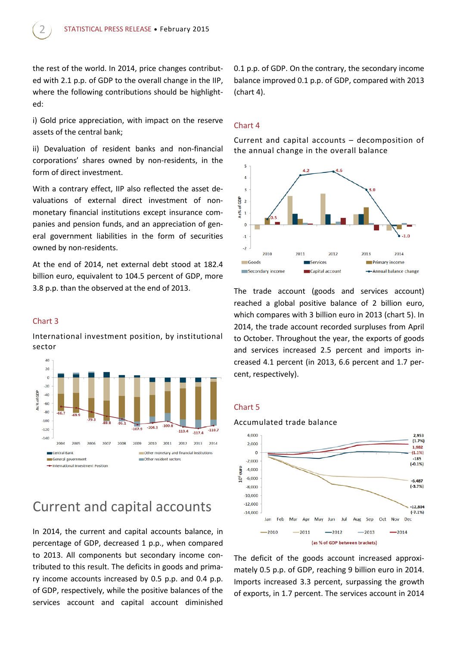the rest of the world. In 2014, price changes contributed with 2.1 p.p. of GDP to the overall change in the IIP, where the following contributions should be highlighted:

i) Gold price appreciation, with impact on the reserve assets of the central bank;

ii) Devaluation of resident banks and non-financial corporations' shares owned by non-residents, in the form of direct investment.

With a contrary effect, IIP also reflected the asset devaluations of external direct investment of nonmonetary financial institutions except insurance companies and pension funds, and an appreciation of general government liabilities in the form of securities owned by non-residents.

At the end of 2014, net external debt stood at 182.4 billion euro, equivalent to 104.5 percent of GDP, more 3.8 p.p. than the observed at the end of 2013.

#### Chart 3

International investment position, by institutional sector



## Current and capital accounts

In 2014, the current and capital accounts balance, in percentage of GDP, decreased 1 p.p., when compared to 2013. All components but secondary income contributed to this result. The deficits in goods and primary income accounts increased by 0.5 p.p. and 0.4 p.p. of GDP, respectively, while the positive balances of the services account and capital account diminished 0.1 p.p. of GDP. On the contrary, the secondary income balance improved 0.1 p.p. of GDP, compared with 2013 (chart 4).

#### Chart 4

Current and capital accounts – decomposition of the annual change in the overall balance



The trade account (goods and services account) reached a global positive balance of 2 billion euro, which compares with 3 billion euro in 2013 (chart 5). In 2014, the trade account recorded surpluses from April to October. Throughout the year, the exports of goods and services increased 2.5 percent and imports increased 4.1 percent (in 2013, 6.6 percent and 1.7 percent, respectively).

#### Chart 5



The deficit of the goods account increased approximately 0.5 p.p. of GDP, reaching 9 billion euro in 2014. Imports increased 3.3 percent, surpassing the growth of exports, in 1.7 percent. The services account in 2014

#### Accumulated trade balance